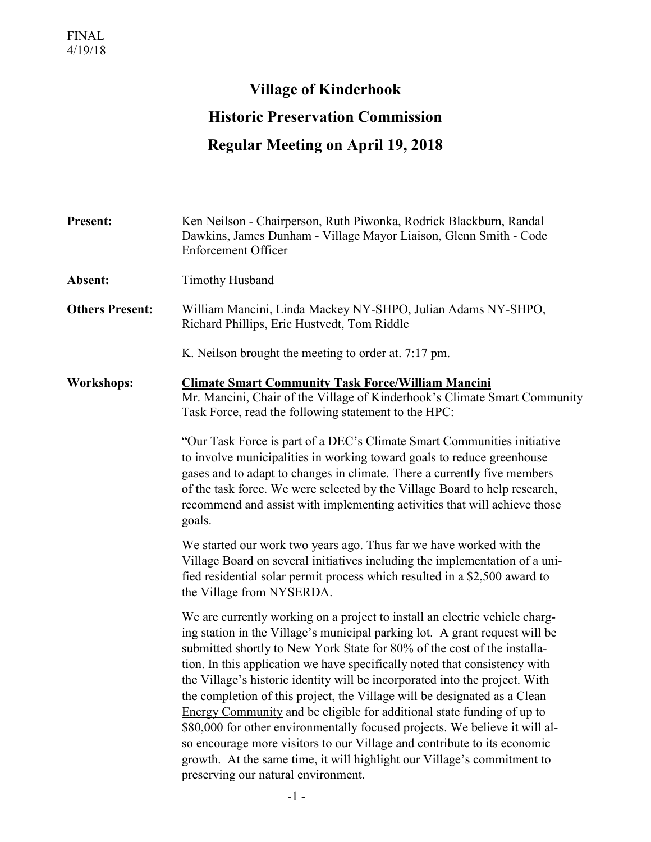## **Village of Kinderhook Historic Preservation Commission Regular Meeting on April 19, 2018**

| <b>Present:</b>        | Ken Neilson - Chairperson, Ruth Piwonka, Rodrick Blackburn, Randal<br>Dawkins, James Dunham - Village Mayor Liaison, Glenn Smith - Code<br><b>Enforcement Officer</b>                                                                                                                                                                                                                                                                                                                                                                                                                                                                                                                                                                                                                                                                   |  |
|------------------------|-----------------------------------------------------------------------------------------------------------------------------------------------------------------------------------------------------------------------------------------------------------------------------------------------------------------------------------------------------------------------------------------------------------------------------------------------------------------------------------------------------------------------------------------------------------------------------------------------------------------------------------------------------------------------------------------------------------------------------------------------------------------------------------------------------------------------------------------|--|
| Absent:                | <b>Timothy Husband</b>                                                                                                                                                                                                                                                                                                                                                                                                                                                                                                                                                                                                                                                                                                                                                                                                                  |  |
| <b>Others Present:</b> | William Mancini, Linda Mackey NY-SHPO, Julian Adams NY-SHPO,<br>Richard Phillips, Eric Hustvedt, Tom Riddle                                                                                                                                                                                                                                                                                                                                                                                                                                                                                                                                                                                                                                                                                                                             |  |
|                        | K. Neilson brought the meeting to order at. 7:17 pm.                                                                                                                                                                                                                                                                                                                                                                                                                                                                                                                                                                                                                                                                                                                                                                                    |  |
| <b>Workshops:</b>      | <b>Climate Smart Community Task Force/William Mancini</b><br>Mr. Mancini, Chair of the Village of Kinderhook's Climate Smart Community<br>Task Force, read the following statement to the HPC:                                                                                                                                                                                                                                                                                                                                                                                                                                                                                                                                                                                                                                          |  |
|                        | "Our Task Force is part of a DEC's Climate Smart Communities initiative<br>to involve municipalities in working toward goals to reduce greenhouse<br>gases and to adapt to changes in climate. There a currently five members<br>of the task force. We were selected by the Village Board to help research,<br>recommend and assist with implementing activities that will achieve those<br>goals.                                                                                                                                                                                                                                                                                                                                                                                                                                      |  |
|                        | We started our work two years ago. Thus far we have worked with the<br>Village Board on several initiatives including the implementation of a uni-<br>fied residential solar permit process which resulted in a \$2,500 award to<br>the Village from NYSERDA.                                                                                                                                                                                                                                                                                                                                                                                                                                                                                                                                                                           |  |
|                        | We are currently working on a project to install an electric vehicle charg-<br>ing station in the Village's municipal parking lot. A grant request will be<br>submitted shortly to New York State for 80% of the cost of the installa-<br>tion. In this application we have specifically noted that consistency with<br>the Village's historic identity will be incorporated into the project. With<br>the completion of this project, the Village will be designated as a Clean<br>Energy Community and be eligible for additional state funding of up to<br>\$80,000 for other environmentally focused projects. We believe it will al-<br>so encourage more visitors to our Village and contribute to its economic<br>growth. At the same time, it will highlight our Village's commitment to<br>preserving our natural environment. |  |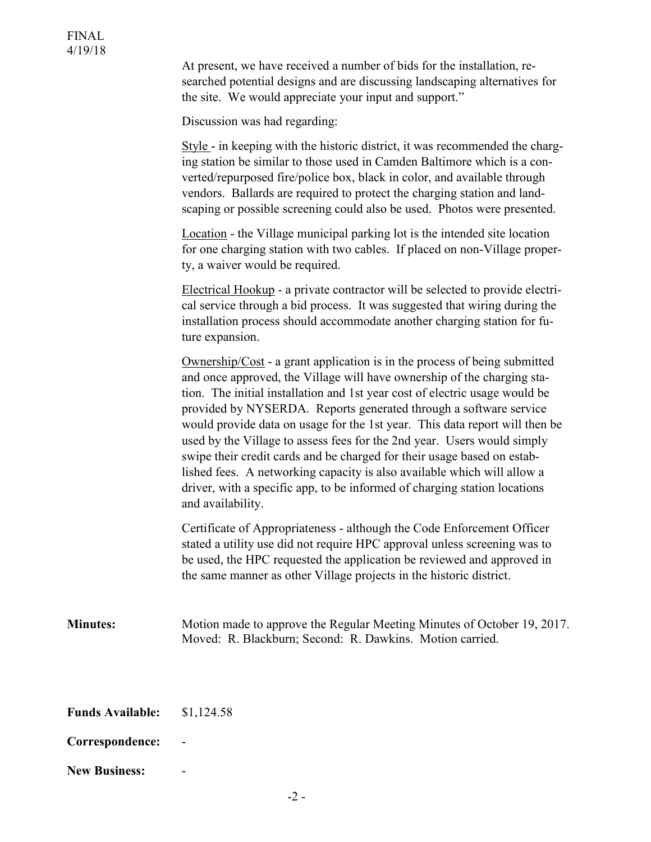At present, we have received a number of bids for the installation, researched potential designs and are discussing landscaping alternatives for the site. We would appreciate your input and support."

Discussion was had regarding:

Style - in keeping with the historic district, it was recommended the charging station be similar to those used in Camden Baltimore which is a converted/repurposed fire/police box, black in color, and available through vendors. Ballards are required to protect the charging station and landscaping or possible screening could also be used. Photos were presented.

Location - the Village municipal parking lot is the intended site location for one charging station with two cables. If placed on non-Village property, a waiver would be required.

Electrical Hookup - a private contractor will be selected to provide electrical service through a bid process. It was suggested that wiring during the installation process should accommodate another charging station for future expansion.

Ownership/Cost - a grant application is in the process of being submitted and once approved, the Village will have ownership of the charging station. The initial installation and 1st year cost of electric usage would be provided by NYSERDA. Reports generated through a software service would provide data on usage for the 1st year. This data report will then be used by the Village to assess fees for the 2nd year. Users would simply swipe their credit cards and be charged for their usage based on established fees. A networking capacity is also available which will allow a driver, with a specific app, to be informed of charging station locations and availability.

Certificate of Appropriateness - although the Code Enforcement Officer stated a utility use did not require HPC approval unless screening was to be used, the HPC requested the application be reviewed and approved in the same manner as other Village projects in the historic district.

**Minutes:** Motion made to approve the Regular Meeting Minutes of October 19, 2017. Moved: R. Blackburn; Second: R. Dawkins. Motion carried.

| <b>Funds Available:</b> | \$1,124.58 |
|-------------------------|------------|
|                         |            |

- **Correspondence:** -
- **New Business:** -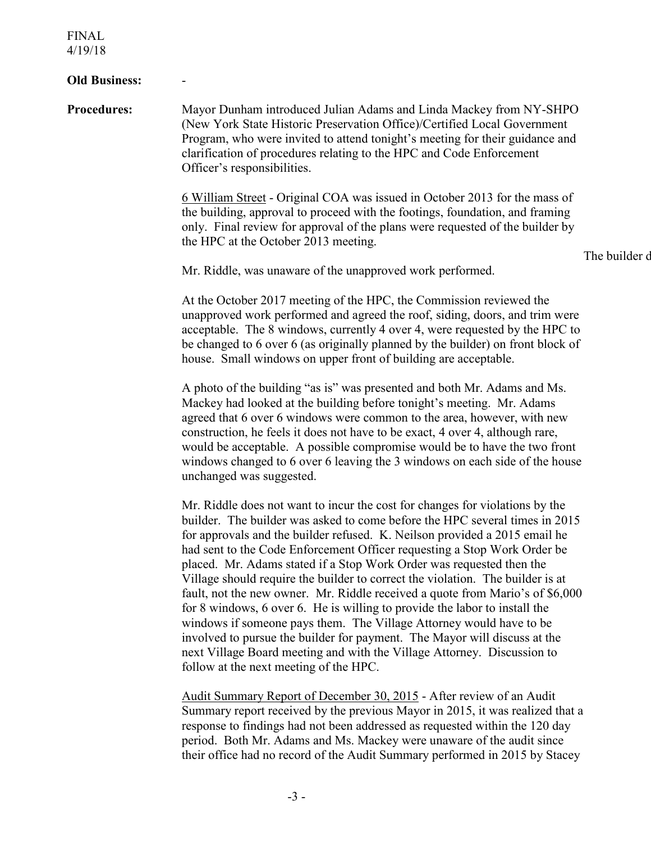FINAL 4/19/18

## **Old Business:**

**Procedures:** Mayor Dunham introduced Julian Adams and Linda Mackey from NY-SHPO (New York State Historic Preservation Office)/Certified Local Government Program, who were invited to attend tonight's meeting for their guidance and clarification of procedures relating to the HPC and Code Enforcement Officer's responsibilities.

> 6 William Street - Original COA was issued in October 2013 for the mass of the building, approval to proceed with the footings, foundation, and framing only. Final review for approval of the plans were requested of the builder by the HPC at the October 2013 meeting.

The builder d

Mr. Riddle, was unaware of the unapproved work performed.

At the October 2017 meeting of the HPC, the Commission reviewed the unapproved work performed and agreed the roof, siding, doors, and trim were acceptable. The 8 windows, currently 4 over 4, were requested by the HPC to be changed to 6 over 6 (as originally planned by the builder) on front block of house. Small windows on upper front of building are acceptable.

A photo of the building "as is" was presented and both Mr. Adams and Ms. Mackey had looked at the building before tonight's meeting. Mr. Adams agreed that 6 over 6 windows were common to the area, however, with new construction, he feels it does not have to be exact, 4 over 4, although rare, would be acceptable. A possible compromise would be to have the two front windows changed to 6 over 6 leaving the 3 windows on each side of the house unchanged was suggested.

Mr. Riddle does not want to incur the cost for changes for violations by the builder. The builder was asked to come before the HPC several times in 2015 for approvals and the builder refused. K. Neilson provided a 2015 email he had sent to the Code Enforcement Officer requesting a Stop Work Order be placed. Mr. Adams stated if a Stop Work Order was requested then the Village should require the builder to correct the violation. The builder is at fault, not the new owner. Mr. Riddle received a quote from Mario's of \$6,000 for 8 windows, 6 over 6. He is willing to provide the labor to install the windows if someone pays them. The Village Attorney would have to be involved to pursue the builder for payment. The Mayor will discuss at the next Village Board meeting and with the Village Attorney. Discussion to follow at the next meeting of the HPC.

 Audit Summary Report of December 30, 2015 - After review of an Audit Summary report received by the previous Mayor in 2015, it was realized that a response to findings had not been addressed as requested within the 120 day period. Both Mr. Adams and Ms. Mackey were unaware of the audit since their office had no record of the Audit Summary performed in 2015 by Stacey